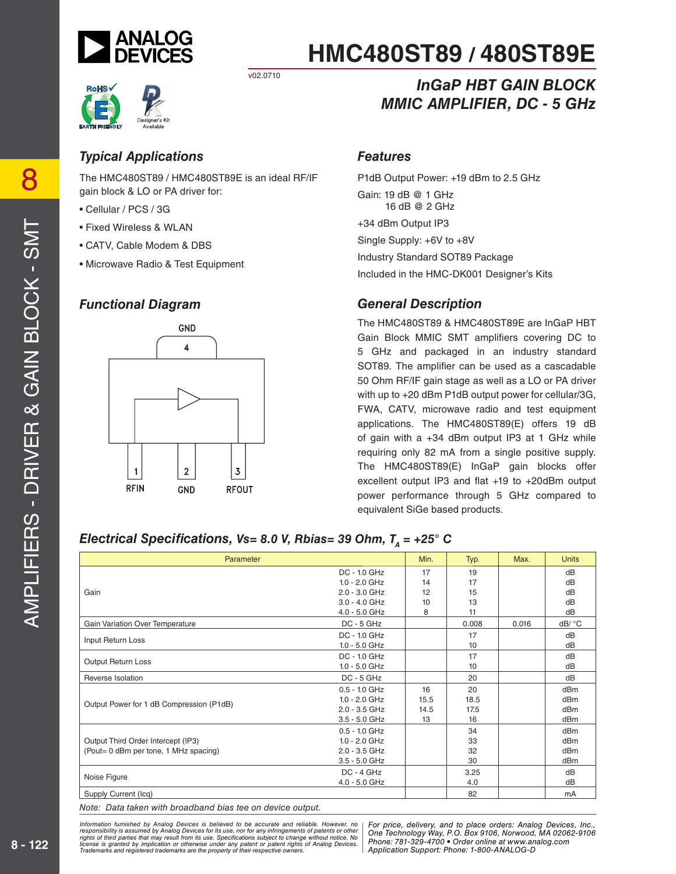

# Designer's Kit<br>Available

# **HMC480ST89 / 480ST89E**

v02.0710

# *Typical Applications*

The HMC480ST89 / HMC480ST89E is an ideal RF/IF gain block & LO or PA driver for:

- Cellular / PCS / 3G
- Fixed Wireless & WLAN
- CATV, Cable Modem & DBS
- Microwave Radio & Test Equipment

### *Functional Diagram*



# *InGaP HBT GAIN BLOCK MMIC AMPLIFIER, DC - 5 GHz*

### *Features*

P1dB Output Power: +19 dBm to 2.5 GHz Gain: 19 dB @ 1 GHz 16 dB @ 2 GHz +34 dBm Output IP3 Single Supply: +6V to +8V Industry Standard SOT89 Package Included in the HMC-DK001 Designer's Kits

# *General Description*

The HMC480ST89 & HMC480ST89E are InGaP HBT Gain Block MMIC SMT amplifiers covering DC to 5 GHz and packaged in an industry standard SOT89. The amplifier can be used as a cascadable 50 Ohm RF/IF gain stage as well as a LO or PA driver with up to +20 dBm P1dB output power for cellular/3G, FWA, CATV, microwave radio and test equipment applications. The HMC480ST89(E) offers 19 dB of gain with a +34 dBm output IP3 at 1 GHz while requiring only 82 mA from a single positive supply. The HMC480ST89(E) InGaP gain blocks offer excellent output IP3 and flat  $+19$  to  $+20$ dBm output power performance through 5 GHz compared to equivalent SiGe based products.

# *Electrical Specifications, Vs= 8.0 V, Rbias= 39 Ohm, T<sub>4</sub> = +25° C*

| Parameter                                |                 |      | Typ.  | Max.  | <b>Units</b>    |
|------------------------------------------|-----------------|------|-------|-------|-----------------|
|                                          | DC - 1.0 GHz    | 17   | 19    |       | dB              |
|                                          | $1.0 - 2.0$ GHz | 14   | 17    |       | dB              |
| Gain                                     | $2.0 - 3.0$ GHz | 12   | 15    |       | dB              |
|                                          | 3.0 - 4.0 GHz   | 10   | 13    |       | dB              |
|                                          | $4.0 - 5.0$ GHz | 8    | 11    |       | dB              |
| Gain Variation Over Temperature          | DC - 5 GHz      |      | 0.008 | 0.016 | dB/ °C          |
|                                          | DC - 1.0 GHz    |      | 17    |       | dB              |
| Input Return Loss                        | $1.0 - 5.0$ GHz |      | 10    |       | dB              |
|                                          | DC - 1.0 GHz    |      | 17    |       | dB              |
| Output Return Loss                       | $1.0 - 5.0$ GHz |      | 10    |       | dB              |
| Reverse Isolation                        | DC - 5 GHz      |      | 20    |       | dB              |
|                                          | $0.5 - 1.0$ GHz | 16   | 20    |       | dB <sub>m</sub> |
|                                          | $1.0 - 2.0$ GHz | 15.5 | 18.5  |       | dB <sub>m</sub> |
| Output Power for 1 dB Compression (P1dB) | 2.0 - 3.5 GHz   | 14.5 | 17.5  |       | dBm             |
|                                          | $3.5 - 5.0$ GHz | 13   | 16    |       | dB <sub>m</sub> |
|                                          | $0.5 - 1.0$ GHz |      | 34    |       | dB <sub>m</sub> |
| Output Third Order Intercept (IP3)       | $1.0 - 2.0$ GHz |      | 33    |       | dBm             |
| (Pout= 0 dBm per tone, 1 MHz spacing)    | $2.0 - 3.5$ GHz |      | 32    |       | dB <sub>m</sub> |
|                                          | $3.5 - 5.0$ GHz |      | 30    |       | dBm             |
| Noise Figure                             | DC - 4 GHz      |      | 3.25  |       | dB              |
|                                          | 4.0 - 5.0 GHz   |      | 4.0   |       | dB              |
| Supply Current (Icq)                     |                 |      | 82    |       | mA              |

Note: Data taken with broadband bias tee on device output.

mation furnished by Analog Devices is believed to be accurate and reliable. However, no Phor price, delivery, and to place orders: Analog Devices, In<br>onsibility is assumed by Analog Devices for its use not for any infringe y result from its use. Specifications subject to change without notice. No<br>stinn or otherwise under any patent or patent rights of Analog Devices Phone: 781-329-4700 • Order online at ww e the property of their respective owners. The Supplication Support: Phone: 1-80 *Information furnished by Analog Devices is believed to be accurate and reliable. However, no*  responsibility is assumed by Analog Devices for its use, nor for any infringements of patents or other<br>rights of third parties that may result from its use. Specifications subject to change without notice. No<br>license is gr

*For price, delivery, and to place orders: Analog Devices, Inc., One Technology Way, P.O. Box 9106, Norwood, MA 02062-9106 Phone: 781-329-4700 • Order online at www.analog.com Application Support: Phone: 1-800-ANALOG-D*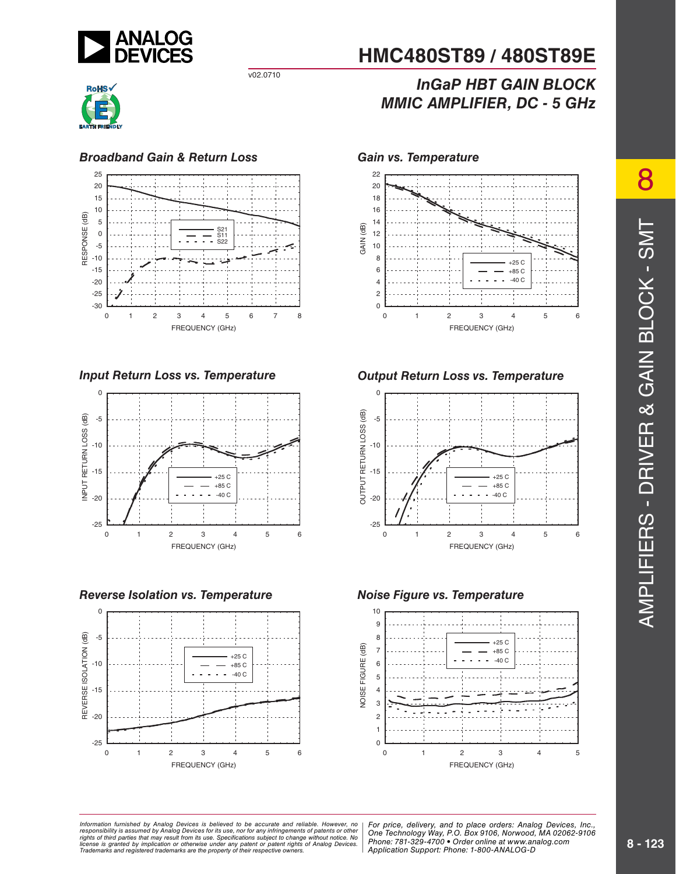



### *Broadband Gain & Return Loss Gain vs. Temperature*



*Input Return Loss vs. Temperature*



*Reverse Isolation vs. Temperature*



# **HMC480ST89 / 480ST89E**

# *InGaP HBT GAIN BLOCK MMIC AMPLIFIER, DC - 5 GHz*



# *Output Return Loss vs. Temperature*



# *Noise Figure vs. Temperature*



mation furnished by Analog Devices is believed to be accurate and reliable. However, no | For price, delivery, and to place orders: Analog Devices, Inc.,<br>onsibility is assumed by Analog Devices for its use, nor for any inf y result from its use. Specifications subject to change without notice. No<br>stinn or otherwise under any patent or patent rights of Analog Devices Phone: 781-329-4700 • Order online at ww e the property of their respective owners. The Supplication Support: Phone: 1-80 *Information furnished by Analog Devices is believed to be accurate and reliable. However, no*  responsibility is assumed by Analog Devices for its use, nor for any infringements of patents or other<br>rights of third parties that may result from its use. Specifications subject to change without notice. No<br>license is gr

*Phone: 781-329-4700 • Order online at www.analog.com Application Support: Phone: 1-800-ANALOG-D*

8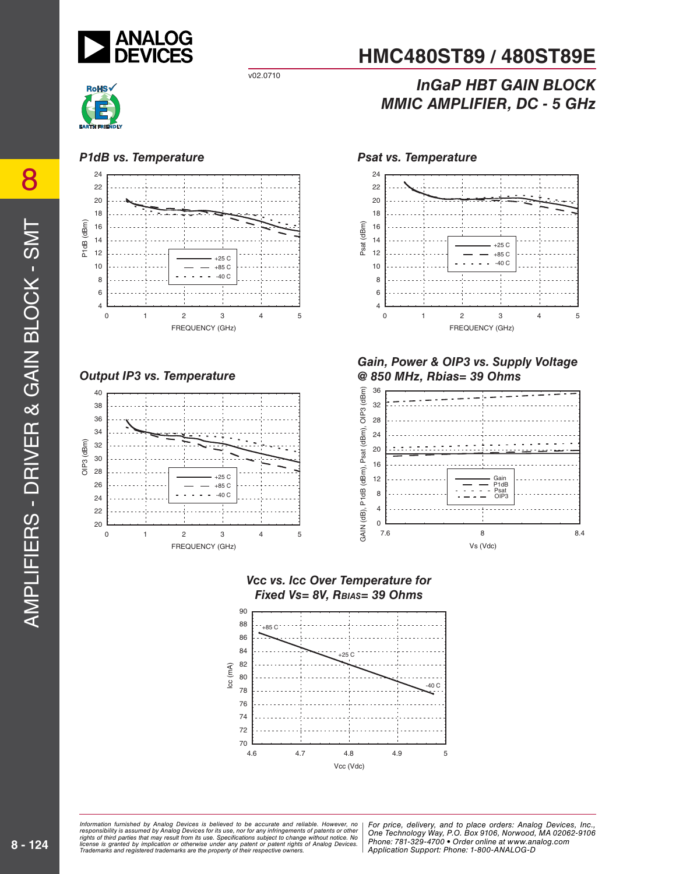



### *P1dB vs. Temperature Psat vs. Temperature*



*Output IP3 vs. Temperature*





# *InGaP HBT GAIN BLOCK MMIC AMPLIFIER, DC - 5 GHz*



### *Gain, Power & OIP3 vs. Supply Voltage @ 850 MHz, Rbias= 39 Ohms*







#### mation furnished by Analog Devices is believed to be accurate and reliable. However, no | For price, delivery, and to place orders: Analog Devices, Inc.,<br>onsibility is assumed by Analog Devices for its use, nor for any inf y result from its use. Specifications subject to change without notice. No<br>stinn or otherwise under any patent or patent rights of Analog Devices Phone: 781-329-4700 • Order online at ww e the property of their respective owners. The Supplication Support: Phone: 1-80 *Information furnished by Analog Devices is believed to be accurate and reliable. However, no*  responsibility is assumed by Analog Devices for its use, nor for any infringements of patents or other<br>rights of third parties that may result from its use. Specifications subject to change without notice. No<br>license is gr

*Phone: 781-329-4700 • Order online at www.analog.com Application Support: Phone: 1-800-ANALOG-D*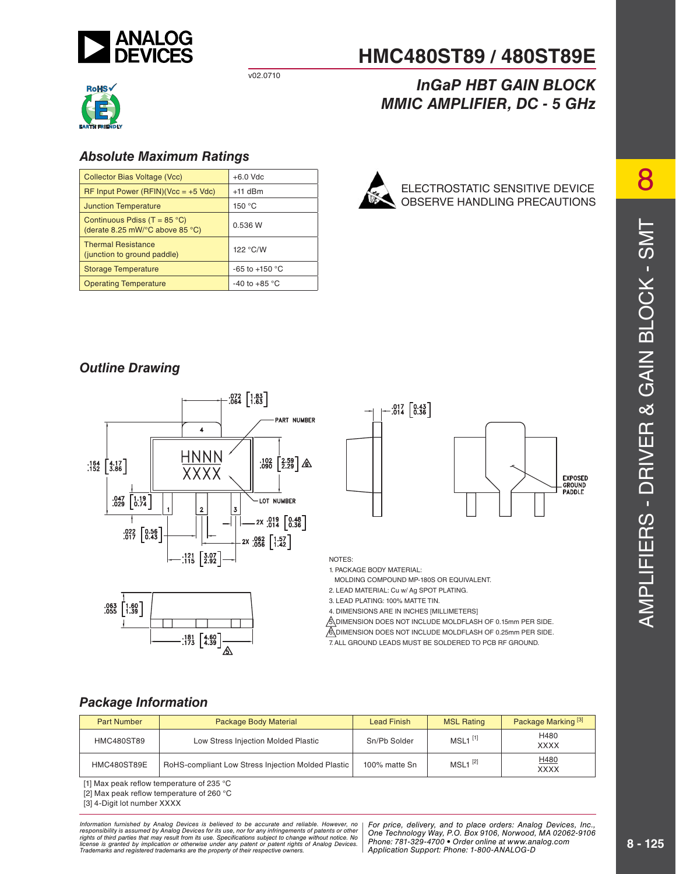



# *Absolute Maximum Ratings*

| Collector Bias Voltage (Vcc)<br>$+6.0$ Vdc                                                  |                    |  |
|---------------------------------------------------------------------------------------------|--------------------|--|
| $RF$ Input Power (RFIN)(Vcc = +5 Vdc)                                                       | $+11$ dBm          |  |
| <b>Junction Temperature</b>                                                                 | 150 °C             |  |
| Continuous Pdiss (T = $85^{\circ}$ C)<br>(derate 8.25 mW/ $\degree$ C above 85 $\degree$ C) | 0.536 W            |  |
| <b>Thermal Resistance</b><br>(junction to ground paddle)                                    | 122 °C/W           |  |
| <b>Storage Temperature</b>                                                                  | $-65$ to $+150$ °C |  |
| <b>Operating Temperature</b><br>-40 to +85 $^{\circ}$ C                                     |                    |  |



**HMC480ST89 / 480ST89E**

*MMIC AMPLIFIER, DC - 5 GHz* 

*InGaP HBT GAIN BLOCK*

# *Outline Drawing*







#### NOTES:

1. PACKAGE BODY MATERIAL: MOLDING COMPOUND MP-180S OR EQUIVALENT.

2. LEAD MATERIAL: Cu w/ Ag SPOT PLATING.

3. LEAD PLATING: 100% MATTE TIN.

4. DIMENSIONS ARE IN INCHES [MILLIMETERS]

5. DIMENSION DOES NOT INCLUDE MOLDFLASH OF 0.15mm PER SIDE. 6. DIMENSION DOES NOT INCLUDE MOLDFLASH OF 0.25mm PER SIDE. 7. ALL GROUND LEADS MUST BE SOLDERED TO PCB RF GROUND.

### *Package Information*

| <b>Part Number</b> | Package Body Material                              | <b>Lead Finish</b> | <b>MSL Rating</b>     | Package Marking <sup>[3]</sup> |
|--------------------|----------------------------------------------------|--------------------|-----------------------|--------------------------------|
| <b>HMC480ST89</b>  | Low Stress Injection Molded Plastic                | Sn/Pb Solder       | $MSL1$ <sup>[1]</sup> | H480<br><b>XXXX</b>            |
| HMC480ST89E        | RoHS-compliant Low Stress Injection Molded Plastic | 100% matte Sn      | $MSL1^{[2]}$          | H480<br><b>XXXX</b>            |

[1] Max peak reflow temperature of 235  $^{\circ}$ C

[2] Max peak reflow temperature of 260 °C

[3] 4-Digit lot number XXXX

mation furnished by Analog Devices is believed to be accurate and reliable. However, no Phor price, delivery, and to place orders: Analog Devices, In<br>onsibility is assumed by Analog Devices for its use not for any infringe y result from its use. Specifications subject to change without notice. No<br>stinn or otherwise under any patent or patent rights of Analog Devices Phone: 781-329-4700 • Order online at ww e the property of their respective owners. The Supplication Support: Phone: 1-80 Information furnished by Analog Devices is believed to be accurate and reliable. However, no<br>responsibility is assumed by Analog Devices for its use, nor for any infringements of patents or other<br>rights of third parties th

*For price, delivery, and to place orders: Analog Devices, Inc., One Technology Way, P.O. Box 9106, Norwood, MA 02062-9106 Phone: 781-329-4700 • Order online at www.analog.com Application Support: Phone: 1-800-ANALOG-D*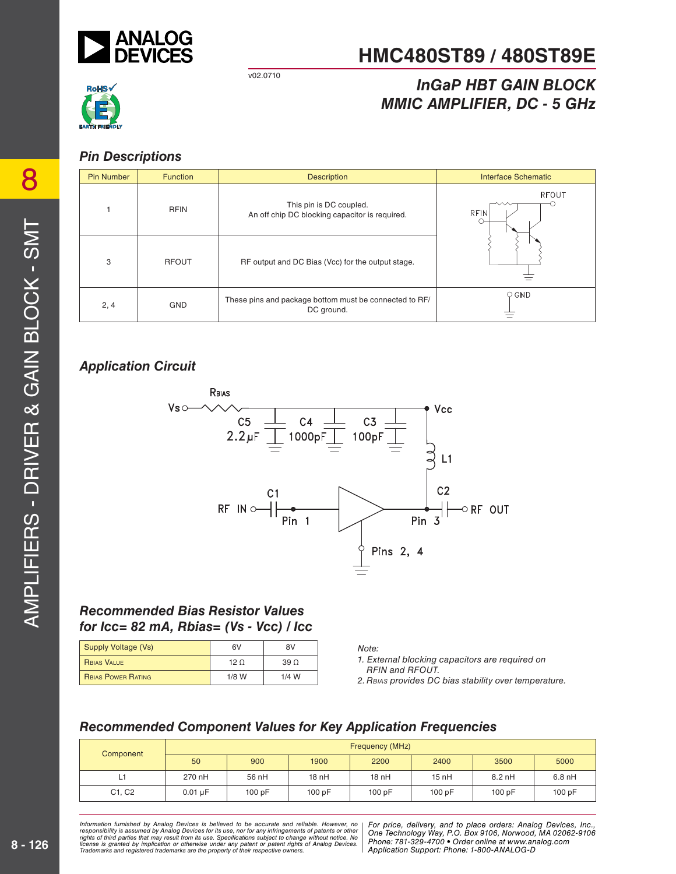

# **HMC480ST89 / 480ST89E**

# *InGaP HBT GAIN BLOCK MMIC AMPLIFIER, DC - 5 GHz*



### *Pin Descriptions*

| <b>Pin Number</b> | <b>Function</b> | <b>Description</b>                                                        | <b>Interface Schematic</b>                 |
|-------------------|-----------------|---------------------------------------------------------------------------|--------------------------------------------|
|                   | <b>RFIN</b>     | This pin is DC coupled.<br>An off chip DC blocking capacitor is required. | RFOUT<br>$\rightsquigarrow$<br><b>RFIN</b> |
| 3                 | <b>RFOUT</b>    | RF output and DC Bias (Vcc) for the output stage.                         |                                            |
| 2, 4              | <b>GND</b>      | These pins and package bottom must be connected to RF/<br>DC ground.      | $\circ$ GND                                |

# *Application Circuit*



# *Recommended Bias Resistor Values for Icc= 82 mA, Rbias= (Vs - Vcc) / Icc*

| Supply Voltage (Vs)       | 6V      | 8V              |
|---------------------------|---------|-----------------|
| <b>RBIAS VALUE</b>        | 12 $O$  | 39 <sub>0</sub> |
| <b>RBIAS POWER RATING</b> | $1/8$ W | $1/4$ W         |

Note:

- 1. External blocking capacitors are required on RFIN and RFOUT.
- 2. RBIAS provides DC bias stability over temperature.

# *Recommended Component Values for Key Application Frequencies*

| Component | Frequency (MHz) |        |        |        |       |          |          |
|-----------|-----------------|--------|--------|--------|-------|----------|----------|
|           | 50              | 900    | 1900   | 2200   | 2400  | 3500     | 5000     |
| . .       | 270 nH          | 56 nH  | 18 nH  | 18 nH  | 15nH  | $8.2$ nH | $6.8$ nH |
| C1, C2    | $0.01 \mu F$    | 100 pF | 100 pF | 100 pF | 100pF | 100 pF   | 100 pF   |

mation furnished by Analog Devices is believed to be accurate and reliable. However, no | For price, delivery, and to place orders: Analog Devices, Inc.,<br>onsibility is assumed by Analog Devices for its use, nor for any inf y result from its use. Specifications subject to change without notice. No<br>stinn or otherwise under any patent or patent rights of Analog Devices Phone: 781-329-4700 • Order online at ww e the property of their respective owners. The Supplication Support: Phone: 1-80 *Information furnished by Analog Devices is believed to be accurate and reliable. However, no*  responsibility is assumed by Analog Devices for its use, nor for any infringements of patents or other<br>rights of third parties that may result from its use. Specifications subject to change without notice. No<br>license is gr

*Phone: 781-329-4700 • Order online at www.analog.com Application Support: Phone: 1-800-ANALOG-D*